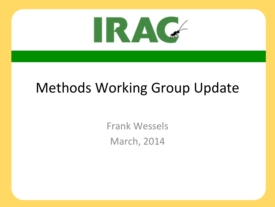

### Methods Working Group Update

Frank Wessels **March, 2014**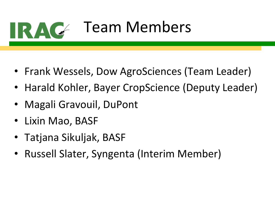

## Team Members

- Frank Wessels, Dow AgroSciences (Team Leader)
- Harald Kohler, Bayer CropScience (Deputy Leader)
- Magali Gravouil, DuPont
- Lixin Mao, BASF
- Tatjana Sikuljak, BASF
- Russell Slater, Syngenta (Interim Member)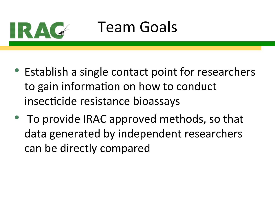

### Team Goals

- Establish a single contact point for researchers to gain information on how to conduct insecticide resistance bioassays
- To provide IRAC approved methods, so that data generated by independent researchers can be directly compared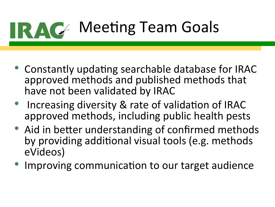

- Constantly updating searchable database for IRAC approved methods and published methods that have not been validated by IRAC
- Increasing diversity & rate of validation of IRAC approved methods, including public health pests
- Aid in better understanding of confirmed methods by providing additional visual tools (e.g. methods eVideos)
- Improving communication to our target audience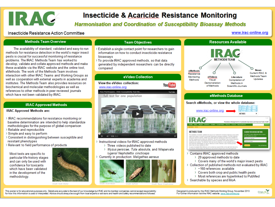

### **Insecticide & Acaricide Resistance Monitoring**

### **Harmonisation and Coordination of Susceptibility Bioassay Methods**

#### Insecticide Resistance Action Committee

www.irac-online.org

#### **Methods Team Overview**

The availability of standard, validated and easy-to-run methods for resistance detection in the world's major insect pests is crucial for successful monitoring of resistance problems. The IRAC Methods Team has worked to develop, validate and collate approved methods and make these available via the IRAC website and the online tool. eMethods. The work of the Methods Team involves interaction with other IRAC Teams and Working Groups as well as cooperation with external experts in academia and institutes. The Methods Team also provides resources on biochemical and molecular methodologies as well as references to other methods in peer reviewed journals which have not been validated by IRAC.

#### **IRAC Approved Methods**

#### **IRAC Approved Methods are:**

- > IRAC recommendations for resistance monitoring or baseline determination are intended to help standardize methodologies for the purpose of global comparison
- > Reliable and reproducible
- > Simple and easy to perform
- > Consistent in distinguishing between susceptible and resistant phenotypes
- > Relevant to field performance of products

Most tests are specific to particular life-history stages and can only be used with confidence for toxicants which have been validated in the development of the methodology.



#### **Team Objectives**

- > Establish a single contact point for researchers to gain information on how to conduct insecticide resistance bioassays
- > To provide IRAC approved methods, so that data generated by independent researchers can be directly compared





- > Instructional videos for IRAC approved methods > Three videos published to date
	-
	- > Myzus persicae, Tuta absoluta, and Nilaparvata lugens/ Nephotettix cincticeps
- > Currently in production: Meligethes aeneus





**Resources Available** 

Search eMethods, or view the whole database:



- > Contains IRAC approved methods
	- > 29 approved methods to date
	- > Covers many of the world's major insect pests
- > Collection of published methods not evaluated by IRAC
	- > ~160 references available
	- > Covers both crop and public health pests
	- > Most references are hyperlinked to PubMed
- > Searchable by species and MoA

This poster is for educational purposes only. Details are accurate to the best of our knowledge but IRAC and its member companies cannot accept responsibility for how this information is used or interpreted. Advice should always be sought from local experts or advisors and health and safety recommendations followed.

Designed & produced by the IRAC Methods Working Group. November 2013 For further information visit the IRAC website: www.irao-online.org

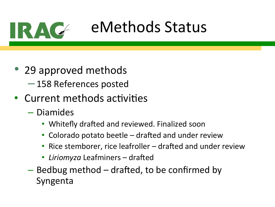

### eMethods Status

- 29 approved methods –158 References posted
- Current methods activities
	- Diamides
		- Whitefly drafted and reviewed. Finalized soon
		- Colorado potato beetle  $-$  drafted and under review
		- Rice stemborer, rice leafroller  $-$  drafted and under review
		- *Liriomyza* Leafminers drafted
	- $-$  Bedbug method  $-$  drafted, to be confirmed by Syngenta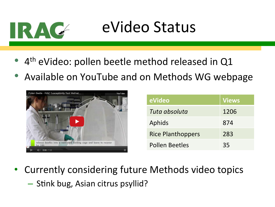

### eVideo Status

- $4<sup>th</sup>$  eVideo: pollen beetle method released in Q1
- Available on YouTube and on Methods WG webpage



| eVideo                   | <b>Views</b> |
|--------------------------|--------------|
| Tuta absoluta            | 1206         |
| Aphids                   | 874          |
| <b>Rice Planthoppers</b> | 283          |
| <b>Pollen Beetles</b>    | 35           |

- Currently considering future Methods video topics
	- $-$  Stink bug, Asian citrus psyllid?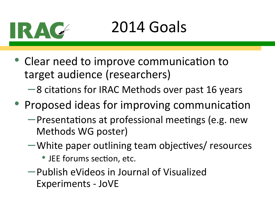

## 2014 Goals

- Clear need to improve communication to target audience (researchers)
	- $-8$  citations for IRAC Methods over past 16 years
- Proposed ideas for improving communication
	- $-$ Presentations at professional meetings (e.g. new Methods WG poster)
	- $-\mathsf{White}$  paper outlining team objectives/ resources
		- JEE forums section, etc.
	- –Publish eVideos in Journal of Visualized Experiments - JoVE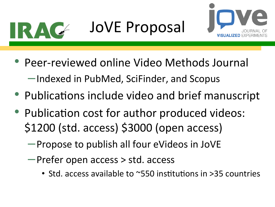

# JoVE Proposal



- Peer-reviewed online Video Methods Journal –Indexed in PubMed, SciFinder, and Scopus
- Publications include video and brief manuscript
- Publication cost for author produced videos: \$1200 (std. access) \$3000 (open access)
	- $-$ Propose to publish all four eVideos in JoVE
	- –Prefer open access > std. access
		- Std. access available to  $\sim$ 550 institutions in >35 countries